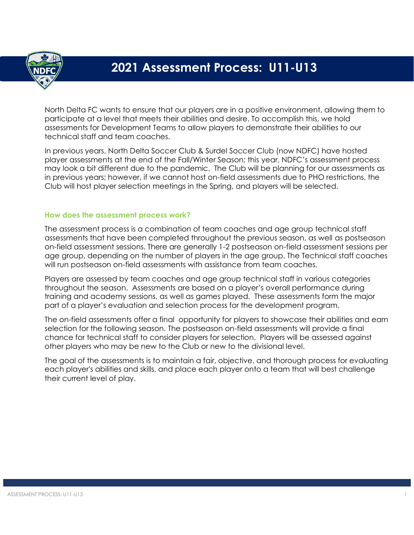

# **2021 Assessment Process: U11-U13**

North Delta FC wants to ensure that our players are in a positive environment, allowing them to participate at a level that meets their abilities and desire. To accomplish this, we hold assessments for Development Teams to allow players to demonstrate their abilities to our technical staff and team coaches.

In previous years, North Delta Soccer Club & Surdel Soccer Club (now NDFC) have hosted player assessments at the end of the Fall/Winter Season; this year, NDFC's assessment process may look a bit different due to the pandemic. The Club will be planning for our assessments as in previous years; however, if we cannot host on-field assessments due to PHO restrictions, the Club will host player selection meetings in the Spring, and players will be selected.

## **How does the assessment process work?**

The assessment process is a combination of team coaches and age group technical staff assessments that have been completed throughout the previous season, as well as postseason on-field assessment sessions. There are generally 1-2 postseason on-field assessment sessions per age group, depending on the number of players in the age group. The Technical staff coaches will run postseason on-field assessments with assistance from team coaches.

Players are assessed by team coaches and age group technical staff in various categories throughout the season. Assessments are based on a player's overall performance during training and academy sessions, as well as games played. These assessments form the major part of a player's evaluation and selection process for the development program.

The on-field assessments offer a final opportunity for players to showcase their abilities and earn selection for the following season. The postseason on-field assessments will provide a final chance for technical staff to consider players for selection. Players will be assessed against other players who may be new to the Club or new to the divisional level.

The goal of the assessments is to maintain a fair, objective, and thorough process for evaluating each player's abilities and skills, and place each player onto a team that will best challenge their current level of play.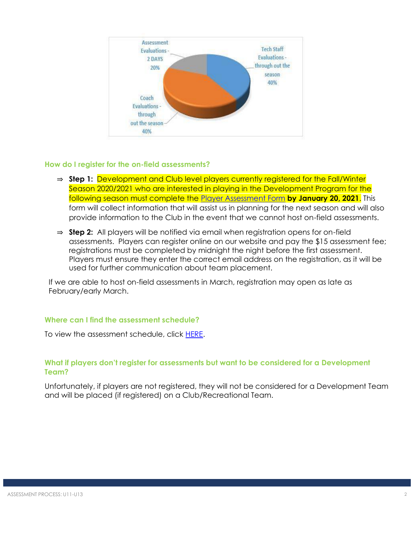

## **How do I register for the on-field assessments?**

- ⇒ **Step 1:** Development and Club level players currently registered for the Fall/Winter Season 2020/2021 who are interested in playing in the Development Program for the following season must complete the [Player Assessment Form](https://forms.gle/TQqpAuJSXs2MaDZ6A) **by January 20, 2021**. This form will collect information that will assist us in planning for the next season and will also provide information to the Club in the event that we cannot host on-field assessments.
- ⇒ **Step 2:** All players will be notified via email when registration opens for on-field assessments. Players can register online on our website and pay the \$15 assessment fee; registrations must be completed by midnight the night before the first assessment. Players must ensure they enter the correct email address on the registration, as it will be used for further communication about team placement.

If we are able to host on-field assessments in March, registration may open as late as February/early March.

# **Where can I find the assessment schedule?**

To view the assessment schedule, click [HERE.](https://www.northdeltafc.com/assessment-schedule-1)

# **What if players don't register for assessments but want to be considered for a Development Team?**

Unfortunately, if players are not registered, they will not be considered for a Development Team and will be placed (if registered) on a Club/Recreational Team.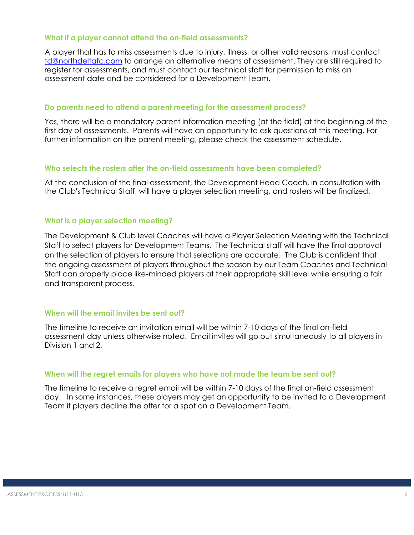#### **What if a player cannot attend the on-field assessments?**

A player that has to miss assessments due to injury, illness, or other valid reasons, must contact [td@northdeltafc.com](http://td@northdeltafc.com/) to arrange an alternative means of assessment. They are still required to register for assessments, and must contact our technical staff for permission to miss an assessment date and be considered for a Development Team.

#### **Do parents need to attend a parent meeting for the assessment process?**

Yes, there will be a mandatory parent information meeting (at the field) at the beginning of the first day of assessments. Parents will have an opportunity to ask questions at this meeting. For further information on the parent meeting, please check the assessment schedule.

#### **Who selects the rosters after the on-field assessments have been completed?**

At the conclusion of the final assessment, the Development Head Coach, in consultation with the Club's Technical Staff, will have a player selection meeting, and rosters will be finalized.

## **What is a player selection meeting?**

The Development & Club level Coaches will have a Player Selection Meeting with the Technical Staff to select players for Development Teams. The Technical staff will have the final approval on the selection of players to ensure that selections are accurate. The Club is confident that the ongoing assessment of players throughout the season by our Team Coaches and Technical Staff can properly place like-minded players at their appropriate skill level while ensuring a fair and transparent process.

# **When will the email invites be sent out?**

The timeline to receive an invitation email will be within 7-10 days of the final on-field assessment day unless otherwise noted. Email invites will go out simultaneously to all players in Division 1 and 2.

#### **When will the regret emails for players who have not made the team be sent out?**

The timeline to receive a regret email will be within 7-10 days of the final on-field assessment day. In some instances, these players may get an opportunity to be invited to a Development Team if players decline the offer for a spot on a Development Team.